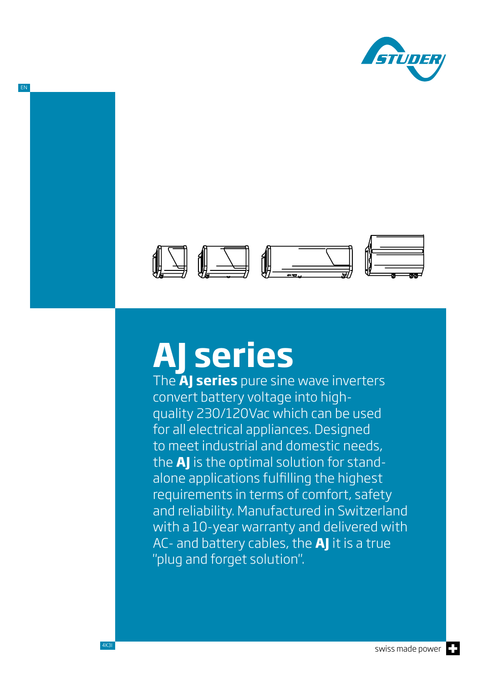



# **AJ series**

The **AJ series** pure sine wave inverters convert battery voltage into highquality 230/120Vac which can be used for all electrical appliances. Designed to meet industrial and domestic needs, the **AJ** is the optimal solution for standalone applications fulfilling the highest requirements in terms of comfort, safety and reliability. Manufactured in Switzerland with a 10-year warranty and delivered with AC- and battery cables, the **AJ** it is a true "plug and forget solution".

EN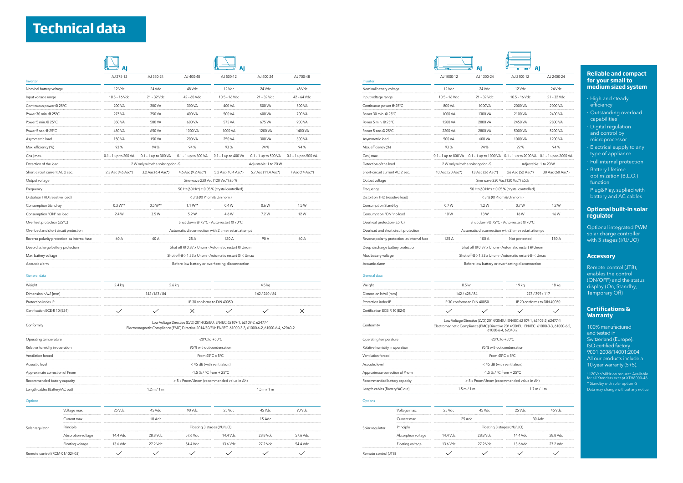|                                 | Voltage max.       | 25 Vdc                     | $45$ Vdc | $90$ Vdc | 25 Vdc   | 45 Vdc   | 90 Vdc   |  |  |
|---------------------------------|--------------------|----------------------------|----------|----------|----------|----------|----------|--|--|
|                                 | Current max.       |                            | $10$ Adc |          |          | $15$ Adc |          |  |  |
| Solar regulator                 | Principle          | Floating 3 stages (I/U/UO) |          |          |          |          |          |  |  |
|                                 | Absorption voltage | 14.4 Vdc                   | 28.8 Vdc | 57.6 Vdc | 14 4 Vdc | 28.8 Vdc | 57.6 Vdc |  |  |
|                                 | Floating voltage   | $13.6$ Vdc                 | 27.2 Vdc | 54 4 Vdc | 13 6 Vdc | 27.2 Vdc | 54.4 Vdc |  |  |
| Remote control (RCM-01/-02/-03) |                    |                            |          |          |          |          |          |  |  |

|                                              |                                                                                                                                                                                    |                                                     |                      |                                           |                                              |                                       |                                                    |                                                                                                                                 | AJ                                                               | -AJ                                    |
|----------------------------------------------|------------------------------------------------------------------------------------------------------------------------------------------------------------------------------------|-----------------------------------------------------|----------------------|-------------------------------------------|----------------------------------------------|---------------------------------------|----------------------------------------------------|---------------------------------------------------------------------------------------------------------------------------------|------------------------------------------------------------------|----------------------------------------|
|                                              | AJ 275-12                                                                                                                                                                          | AJ 350-24                                           | AJ 400-48            | AJ 500-12                                 | AJ 600-24                                    | AJ 700-48                             |                                                    | AJ 1000-12                                                                                                                      | AJ 1300-24                                                       | AJ 2100-12                             |
| Inverter<br>Nominal battery voltage          | 12 Vdc                                                                                                                                                                             | 24 Vdc                                              | 48 Vdc               | 12 Vdc                                    | 24 Vdc                                       | 48 Vdc                                | Inverter<br>Nominal battery voltage                | 12 Vdc                                                                                                                          | 24 Vdc                                                           | 12 Vdc                                 |
| Input voltage range                          | 10.5 - 16 Vdc                                                                                                                                                                      | 21 - 32 Vdc                                         | 42 - 60 Vdc          | 10.5 - 16 Vdc                             | 21 - 32 Vdc                                  | 42 - 64 Vdc                           | Input voltage range                                | 10.5 - 16 Vdc                                                                                                                   | 21 - 32 Vdc                                                      | 10.5 - 16 Vdc                          |
| Continuous power @ 25°C                      | 200 VA                                                                                                                                                                             | 300 VA                                              | 300 VA               | 400 VA                                    | 500 VA                                       | 500 VA                                | Continuous power @ 25°C                            | 800 VA                                                                                                                          | 1000VA                                                           | 2000 VA                                |
| Power 30 min. @ 25°C                         | 275 VA                                                                                                                                                                             | 350 VA                                              | 400 VA               | 500 VA                                    | 600 VA                                       | 700 VA                                | Power 30 min. @ 25°C                               | 1000 VA                                                                                                                         | 1300 VA                                                          | 2100 VA                                |
| Power 5 min. @ 25°C                          | 350 VA                                                                                                                                                                             | 500 VA                                              | 600 VA               | 575 VA                                    | 675 VA                                       | 900 VA                                | Power 5 min. @ 25°C                                | 1200 VA                                                                                                                         | 2000 VA                                                          | 2450 VA                                |
| Power 5 sec. @ 25°C                          | 450 VA                                                                                                                                                                             | 650 VA                                              | 1000 VA              | 1000 VA                                   | 1200 VA                                      | 1400 VA                               | Power 5 sec. @ 25°C                                | 2200 VA                                                                                                                         | 2800 VA                                                          | 5000 VA                                |
| Asymmetric load                              | 150 VA                                                                                                                                                                             | 150 VA                                              | 200 VA               | 250 VA                                    | 300 VA                                       | 300 VA                                | Asymmetric load                                    | 500 VA                                                                                                                          | 600 VA                                                           | 1000 VA                                |
|                                              | 93%                                                                                                                                                                                | 94%                                                 | 94%                  | 93%                                       | 94%                                          | 94%                                   |                                                    | 93%                                                                                                                             | 94%                                                              | 92%                                    |
| Max. efficiency (%)                          |                                                                                                                                                                                    |                                                     |                      |                                           |                                              |                                       | Max. efficiency (%)                                |                                                                                                                                 |                                                                  |                                        |
| Cos j max.                                   | 0.1 - 1 up to 200 VA                                                                                                                                                               | 0.1 - 1 up to 300 VA                                | 0.1 - 1 up to 300 VA | $0.1 - 1$ up to 400 VA                    | 0.1 - 1 up to 500 VA                         | $0.1 - 1$ up to 500 VA                | Cos j max.                                         |                                                                                                                                 | 0.1 - 1 up to 800 VA 0.1 - 1 up to 1000 VA 0.1 - 1 up to 2000 VA |                                        |
| Detection of the load                        |                                                                                                                                                                                    | 2 W only with the solar option -S                   |                      |                                           | Adjustable: 1 to 20 W                        |                                       | Detection of the load                              |                                                                                                                                 | 2 W only with the solar option -S                                | Adjustable:                            |
| Short-circuit current AC 2 sec.              | 2.3 Aac (4.6 Aac*)                                                                                                                                                                 | 3.2 Aac (6.4 Aac*)                                  | 4.6 Aac (9.2 Aac*)   | 5.2 Aac (10.4 Aac*)                       | 5.7 Aac (11.4 Aac*)                          | 7 Aac (14 Aac*)                       | Short-circuit current AC 2 sec.                    | 10 Aac (20 Aac*)                                                                                                                | 13 Aac (26 Aac*)                                                 | 26 Aac (52 Aac*)                       |
| Output voltage                               |                                                                                                                                                                                    | Sine wave 230 Vac (120 Vac*) ±5 %<br>Output voltage |                      | Sine wave 230 Vac (120 Vac*) ±5%          |                                              |                                       |                                                    |                                                                                                                                 |                                                                  |                                        |
| Frequency                                    |                                                                                                                                                                                    | 50 Hz (60 Hz*) $\pm$ 0.05 % (crystal controlled)    |                      | Frequency                                 | 50 Hz (60 Hz*) ± 0.05 % (crystal controlled) |                                       |                                                    |                                                                                                                                 |                                                                  |                                        |
| Distortion THD (resistive load)              |                                                                                                                                                                                    |                                                     |                      | < 3 % (@ Pnom & Uin nom.)                 |                                              |                                       | Distortion THD (resistive load)                    |                                                                                                                                 |                                                                  | < 3 % (@ Pnom & Uin nom.)              |
| Consumption Stand-by                         | $0.3 W^{**}$                                                                                                                                                                       | $0.5 W^{**}$                                        | $1.1 W^{**}$         | 0.4W                                      | 0.6 W                                        | 1.5 W                                 | Consumption Stand-by                               | 0.7W                                                                                                                            | 1.2 W                                                            | 0.7W                                   |
| Consumption "ON" no load                     | 2.4 W                                                                                                                                                                              | 3.5 W                                               | 5.2W                 | 4.6 W                                     | 7.2 W                                        | 12W                                   | Consumption "ON" no load                           | 10W                                                                                                                             | 13W                                                              | 16W                                    |
| Overheat protection (±5°C)                   |                                                                                                                                                                                    |                                                     |                      | Shut down @ 75°C - Auto-restart @ 70°C    |                                              |                                       | Overheat protection (±5°C)                         |                                                                                                                                 |                                                                  | Shut down @ 75°C - Auto-restart @ 70°C |
| Overload and short circuit protection        | Automatic disconnection with 2 time restart attempt                                                                                                                                |                                                     |                      |                                           |                                              | Overload and short circuit protection | Automatic disconnection with 2 time restart attem  |                                                                                                                                 |                                                                  |                                        |
| Reverse polarity protection as internal fuse | 60 A                                                                                                                                                                               | 40 A                                                | 25 A                 | 120 A                                     | 90 A                                         | 60 A                                  | Reverse polarity protection as internal fuse       | 125 A                                                                                                                           | 100 A                                                            | Not protected                          |
| Deep discharge battery protection            |                                                                                                                                                                                    | Shut off @ 0.87 x Unom - Automatic restart @ Unom   |                      |                                           |                                              | Deep discharge battery protection     |                                                    | Shut off @ 0.87 x Unom - Automatic restart @ Unc                                                                                |                                                                  |                                        |
| Max. battery voltage                         | Shut off @ >1.33 x Unom - Automatic restart @ < Umax                                                                                                                               |                                                     |                      |                                           |                                              | Max. battery voltage                  | Shut off @ >1.33 x Unom - Automatic restart @ < Ur |                                                                                                                                 |                                                                  |                                        |
| Acoustic alarm                               | Before low battery or overheating disconnection                                                                                                                                    |                                                     |                      |                                           |                                              | Acoustic alarm                        |                                                    | Before low battery or overheating disconnection                                                                                 |                                                                  |                                        |
| General data                                 |                                                                                                                                                                                    |                                                     |                      |                                           |                                              |                                       | General data                                       |                                                                                                                                 |                                                                  |                                        |
| Weight                                       | 2.4 kg                                                                                                                                                                             |                                                     | 2.6 kg               |                                           | $4.5 \text{ kg}$                             |                                       | Weight                                             | 8.5 kg                                                                                                                          |                                                                  | 19 <sub>kg</sub>                       |
| Dimension h/w/l [mm]                         |                                                                                                                                                                                    | 142/163/84                                          |                      |                                           | 142/240/84                                   |                                       | Dimension h/w/l [mm]                               |                                                                                                                                 | 142 / 428 / 84                                                   | 273/39                                 |
| Protection index IP                          |                                                                                                                                                                                    |                                                     |                      | IP 30 conforms to DIN 40050               |                                              |                                       | Protection index IP                                | IP 30 conforms to DIN 40050                                                                                                     |                                                                  | IP 20 conforms                         |
| Certification ECE-R 10 (E24)                 | $\checkmark$                                                                                                                                                                       |                                                     | $\times$             | $\checkmark$                              |                                              | $\times$                              | Certification ECE-R 10 (E24)                       | $\checkmark$                                                                                                                    | $\checkmark$                                                     | $\checkmark$                           |
| Conformity                                   | Low Voltage Directive (LVD) 2014/35/EU: EN/IEC 62109-1, 62109-2, 62477-1<br>Electromagnetic Compliance (EMC) Directive 2014/30/EU: EN/IEC 61000-3-3, 61000-6-2, 61000-6-4, 62040-2 |                                                     |                      |                                           |                                              | Conformity                            |                                                    | Low Voltage Directive (LVD) 2014/35/EU: EN/IEC 62109-1, 621<br>Electromagnetic Compliance (EMC) Directive 2014/30/EU: EN/IEC 61 | 61000-6-4, 62040-2                                               |                                        |
| Operating temperature                        | -20 $^{\circ}$ C to +50 $^{\circ}$ C                                                                                                                                               |                                                     |                      |                                           | Operating temperature                        | -20 $^{\circ}$ C to +50 $^{\circ}$ C  |                                                    |                                                                                                                                 |                                                                  |                                        |
| Relative humidity in operation               | 95 % without condensation                                                                                                                                                          |                                                     |                      |                                           | Relative humidity in operation               | 95 % without condensation             |                                                    |                                                                                                                                 |                                                                  |                                        |
| Ventilation forced                           | From $45^{\circ}$ C $\pm$ 5°C                                                                                                                                                      |                                                     |                      |                                           |                                              |                                       | Ventilation forced                                 | From $45^{\circ}$ C $\pm$ 5°C                                                                                                   |                                                                  |                                        |
| Acoustic level                               | < 45 dB (with ventilation)                                                                                                                                                         |                                                     |                      |                                           |                                              |                                       | Acoustic level                                     | < 45 dB (with ventilation)                                                                                                      |                                                                  |                                        |
| Approximate correction of Pnom               | $-1.5$ % / °C from + 25°C                                                                                                                                                          |                                                     |                      |                                           |                                              |                                       | Approximate correction of Pnom                     | -1.5 % / $^{\circ}$ C from + 25 $^{\circ}$ C                                                                                    |                                                                  |                                        |
| Recommended battery capacity                 |                                                                                                                                                                                    |                                                     |                      | > 5 x Pnom/Unom (recommended value in Ah) |                                              |                                       | Recommended battery capacity                       |                                                                                                                                 | > 5 x Pnom/Unom (recommended value in Ah)                        |                                        |
| Length cables (Battery/AC out)               |                                                                                                                                                                                    | 1.2 m / 1 m                                         |                      |                                           | 1.5 m / 1 m                                  |                                       | Length cables (Battery/AC out)                     |                                                                                                                                 | 1.5 m / 1 m                                                      | 1.7 m/                                 |
| Options                                      |                                                                                                                                                                                    |                                                     |                      |                                           |                                              |                                       | <b>Options</b>                                     |                                                                                                                                 |                                                                  |                                        |

- ∙ High and steady efficiency
- ∙ Outstanding overload capabilities
- ∙ Digital regulation and control by microprocessor
- ∙ Electrical supply to any type of appliance
- ∙ Full internal protection
- ∙ Battery lifetime optimization (B.L.O.) function
- ∙ Plug&Play, suplied with battery and AC cables

| AJ 1300-24<br>AJ 1000-12<br>AJ 2100-12<br>AJ 2400-24<br>12 Vdc<br>24 Vdc<br>12 Vdc<br>24 Vdc<br>10.5 - 16 Vdc<br>21 - 32 Vdc<br>10.5 - 16 Vdc<br>21 - 32 Vdc<br>Input voltage range<br>Continuous power @ 25°C<br>800 VA<br>1000VA<br>2000 VA<br>2000 VA<br>Power 30 min. @ 25°C<br>1000 VA<br>1300 VA<br>2100 VA<br>2400 VA<br>1200 VA<br>2000 VA<br>2450 VA<br>2800 VA<br>5000 VA<br>2200 VA<br>2800 VA<br>5200 VA<br>500 VA<br>1000 VA<br>600 VA<br>1200 VA<br>93%<br>94%<br>92%<br>94%<br>0.1 - 1 up to 800 VA 0.1 - 1 up to 1000 VA 0.1 - 1 up to 2000 VA 0.1 - 1 up to 2000 VA<br>Detection of the load<br>2 W only with the solar option -S<br>Adjustable: 1 to 20 W<br>Short-circuit current AC 2 sec.<br>10 Aac (20 Aac*)<br>13 Aac (26 Aac*)<br>26 Aac (52 Aac*)<br>30 Aac (60 Aac*)<br>Sine wave 230 Vac (120 Vac*) ±5%<br>50 Hz (60 Hz*) ± 0.05 % (crystal controlled)<br>Distortion THD (resistive load)<br>< 3 % (@ Pnom & Uin nom.)<br>0.7W<br>1.2W<br>0.7W<br>1.2 W<br>Consumption Stand-by<br>Consumption "ON" no load<br>10W<br>13W<br>16W<br>16 W<br>Shut down @ 75°C - Auto-restart @ 70°C<br>Overheat protection $(\pm 5^{\circ}C)$<br>Overload and short circuit protection<br>Automatic disconnection with 2 time restart attempt<br>125 A<br>100 A<br>150 A<br>Reverse polarity protection as internal fuse<br>Not protected<br>Shut off @ 0.87 x Unom - Automatic restart @ Unom<br>Deep discharge battery protection<br>Shut off @ >1.33 x Unom - Automatic restart @ < Umax<br>Max. battery voltage<br>Acoustic alarm<br>Before low battery or overheating disconnection<br>8.5 kg<br>19 kg<br>18 kg<br>Dimension h/w/l [mm]<br>142/428/84<br>273/399/117<br>Protection index IP<br>IP 30 conforms to DIN 40050<br>IP 20 conforms to DIN 40050<br>Certification ECE-R 10 (E24)<br>Low Voltage Directive (LVD) 2014/35/EU: EN/IEC 62109-1, 62109-2, 62477-1<br>Electromagnetic Compliance (EMC) Directive 2014/30/EU: EN/IEC 61000-3-3, 61000-6-2,<br>61000-6-4, 62040-2<br>-20 $^{\circ}$ C to +50 $^{\circ}$ C<br>Operating temperature<br>Relative humidity in operation<br>95 % without condensation<br>From $45^{\circ}$ C $\pm$ 5°C<br>Ventilation forced<br>Acoustic level<br>< 45 dB (with ventilation)<br>$-1.5\%$ / °C from + 25°C<br>Approximate correction of Pnom<br>> 5 x Pnom/Unom (recommended value in Ah)<br>Recommended battery capacity<br>Length cables (Battery/AC out)<br>1.5 m / 1 m<br>1.7 m / 1 m<br>25 Vdc<br>45 Vdc<br>25 Vdc<br>45 Vdc<br>Voltage max.<br>25 Adc<br>Current max.<br>30 Adc<br>Principle<br>Floating 3 stages (I/U/UO)<br>Solar regulator<br>14.4 Vdc<br>Absorption voltage<br>14.4 Vdc<br>28.8 Vdc<br>28.8 Vdc<br>Floating voltage<br>13.6 Vdc<br>27.2 Vdc<br>13.6 Vdc<br>27.2 Vdc<br>Remote control (JT8) |                         |  |  | Al           | AI |              |  |  |  |  |
|-----------------------------------------------------------------------------------------------------------------------------------------------------------------------------------------------------------------------------------------------------------------------------------------------------------------------------------------------------------------------------------------------------------------------------------------------------------------------------------------------------------------------------------------------------------------------------------------------------------------------------------------------------------------------------------------------------------------------------------------------------------------------------------------------------------------------------------------------------------------------------------------------------------------------------------------------------------------------------------------------------------------------------------------------------------------------------------------------------------------------------------------------------------------------------------------------------------------------------------------------------------------------------------------------------------------------------------------------------------------------------------------------------------------------------------------------------------------------------------------------------------------------------------------------------------------------------------------------------------------------------------------------------------------------------------------------------------------------------------------------------------------------------------------------------------------------------------------------------------------------------------------------------------------------------------------------------------------------------------------------------------------------------------------------------------------------------------------------------------------------------------------------------------------------------------------------------------------------------------------------------------------------------------------------------------------------------------------------------------------------------------------------------------------------------------------------------------------------------------------------------------------------------------------------------------------------------------------------------------------------------------------------------------------------------------------------------------------------------------------------------------------------------------|-------------------------|--|--|--------------|----|--------------|--|--|--|--|
|                                                                                                                                                                                                                                                                                                                                                                                                                                                                                                                                                                                                                                                                                                                                                                                                                                                                                                                                                                                                                                                                                                                                                                                                                                                                                                                                                                                                                                                                                                                                                                                                                                                                                                                                                                                                                                                                                                                                                                                                                                                                                                                                                                                                                                                                                                                                                                                                                                                                                                                                                                                                                                                                                                                                                                                   |                         |  |  |              |    |              |  |  |  |  |
|                                                                                                                                                                                                                                                                                                                                                                                                                                                                                                                                                                                                                                                                                                                                                                                                                                                                                                                                                                                                                                                                                                                                                                                                                                                                                                                                                                                                                                                                                                                                                                                                                                                                                                                                                                                                                                                                                                                                                                                                                                                                                                                                                                                                                                                                                                                                                                                                                                                                                                                                                                                                                                                                                                                                                                                   | Inverter                |  |  |              |    |              |  |  |  |  |
|                                                                                                                                                                                                                                                                                                                                                                                                                                                                                                                                                                                                                                                                                                                                                                                                                                                                                                                                                                                                                                                                                                                                                                                                                                                                                                                                                                                                                                                                                                                                                                                                                                                                                                                                                                                                                                                                                                                                                                                                                                                                                                                                                                                                                                                                                                                                                                                                                                                                                                                                                                                                                                                                                                                                                                                   | Nominal battery voltage |  |  |              |    |              |  |  |  |  |
|                                                                                                                                                                                                                                                                                                                                                                                                                                                                                                                                                                                                                                                                                                                                                                                                                                                                                                                                                                                                                                                                                                                                                                                                                                                                                                                                                                                                                                                                                                                                                                                                                                                                                                                                                                                                                                                                                                                                                                                                                                                                                                                                                                                                                                                                                                                                                                                                                                                                                                                                                                                                                                                                                                                                                                                   |                         |  |  |              |    |              |  |  |  |  |
|                                                                                                                                                                                                                                                                                                                                                                                                                                                                                                                                                                                                                                                                                                                                                                                                                                                                                                                                                                                                                                                                                                                                                                                                                                                                                                                                                                                                                                                                                                                                                                                                                                                                                                                                                                                                                                                                                                                                                                                                                                                                                                                                                                                                                                                                                                                                                                                                                                                                                                                                                                                                                                                                                                                                                                                   |                         |  |  |              |    |              |  |  |  |  |
|                                                                                                                                                                                                                                                                                                                                                                                                                                                                                                                                                                                                                                                                                                                                                                                                                                                                                                                                                                                                                                                                                                                                                                                                                                                                                                                                                                                                                                                                                                                                                                                                                                                                                                                                                                                                                                                                                                                                                                                                                                                                                                                                                                                                                                                                                                                                                                                                                                                                                                                                                                                                                                                                                                                                                                                   |                         |  |  |              |    |              |  |  |  |  |
|                                                                                                                                                                                                                                                                                                                                                                                                                                                                                                                                                                                                                                                                                                                                                                                                                                                                                                                                                                                                                                                                                                                                                                                                                                                                                                                                                                                                                                                                                                                                                                                                                                                                                                                                                                                                                                                                                                                                                                                                                                                                                                                                                                                                                                                                                                                                                                                                                                                                                                                                                                                                                                                                                                                                                                                   | Power 5 min. @ 25°C     |  |  |              |    |              |  |  |  |  |
|                                                                                                                                                                                                                                                                                                                                                                                                                                                                                                                                                                                                                                                                                                                                                                                                                                                                                                                                                                                                                                                                                                                                                                                                                                                                                                                                                                                                                                                                                                                                                                                                                                                                                                                                                                                                                                                                                                                                                                                                                                                                                                                                                                                                                                                                                                                                                                                                                                                                                                                                                                                                                                                                                                                                                                                   | Power 5 sec. @ 25°C     |  |  |              |    |              |  |  |  |  |
|                                                                                                                                                                                                                                                                                                                                                                                                                                                                                                                                                                                                                                                                                                                                                                                                                                                                                                                                                                                                                                                                                                                                                                                                                                                                                                                                                                                                                                                                                                                                                                                                                                                                                                                                                                                                                                                                                                                                                                                                                                                                                                                                                                                                                                                                                                                                                                                                                                                                                                                                                                                                                                                                                                                                                                                   | Asymmetric load         |  |  |              |    |              |  |  |  |  |
|                                                                                                                                                                                                                                                                                                                                                                                                                                                                                                                                                                                                                                                                                                                                                                                                                                                                                                                                                                                                                                                                                                                                                                                                                                                                                                                                                                                                                                                                                                                                                                                                                                                                                                                                                                                                                                                                                                                                                                                                                                                                                                                                                                                                                                                                                                                                                                                                                                                                                                                                                                                                                                                                                                                                                                                   | Max. efficiency (%)     |  |  |              |    |              |  |  |  |  |
|                                                                                                                                                                                                                                                                                                                                                                                                                                                                                                                                                                                                                                                                                                                                                                                                                                                                                                                                                                                                                                                                                                                                                                                                                                                                                                                                                                                                                                                                                                                                                                                                                                                                                                                                                                                                                                                                                                                                                                                                                                                                                                                                                                                                                                                                                                                                                                                                                                                                                                                                                                                                                                                                                                                                                                                   | Cos j max.              |  |  |              |    |              |  |  |  |  |
|                                                                                                                                                                                                                                                                                                                                                                                                                                                                                                                                                                                                                                                                                                                                                                                                                                                                                                                                                                                                                                                                                                                                                                                                                                                                                                                                                                                                                                                                                                                                                                                                                                                                                                                                                                                                                                                                                                                                                                                                                                                                                                                                                                                                                                                                                                                                                                                                                                                                                                                                                                                                                                                                                                                                                                                   |                         |  |  |              |    |              |  |  |  |  |
|                                                                                                                                                                                                                                                                                                                                                                                                                                                                                                                                                                                                                                                                                                                                                                                                                                                                                                                                                                                                                                                                                                                                                                                                                                                                                                                                                                                                                                                                                                                                                                                                                                                                                                                                                                                                                                                                                                                                                                                                                                                                                                                                                                                                                                                                                                                                                                                                                                                                                                                                                                                                                                                                                                                                                                                   |                         |  |  |              |    |              |  |  |  |  |
|                                                                                                                                                                                                                                                                                                                                                                                                                                                                                                                                                                                                                                                                                                                                                                                                                                                                                                                                                                                                                                                                                                                                                                                                                                                                                                                                                                                                                                                                                                                                                                                                                                                                                                                                                                                                                                                                                                                                                                                                                                                                                                                                                                                                                                                                                                                                                                                                                                                                                                                                                                                                                                                                                                                                                                                   | Output voltage          |  |  |              |    |              |  |  |  |  |
|                                                                                                                                                                                                                                                                                                                                                                                                                                                                                                                                                                                                                                                                                                                                                                                                                                                                                                                                                                                                                                                                                                                                                                                                                                                                                                                                                                                                                                                                                                                                                                                                                                                                                                                                                                                                                                                                                                                                                                                                                                                                                                                                                                                                                                                                                                                                                                                                                                                                                                                                                                                                                                                                                                                                                                                   | Frequency               |  |  |              |    |              |  |  |  |  |
|                                                                                                                                                                                                                                                                                                                                                                                                                                                                                                                                                                                                                                                                                                                                                                                                                                                                                                                                                                                                                                                                                                                                                                                                                                                                                                                                                                                                                                                                                                                                                                                                                                                                                                                                                                                                                                                                                                                                                                                                                                                                                                                                                                                                                                                                                                                                                                                                                                                                                                                                                                                                                                                                                                                                                                                   |                         |  |  |              |    |              |  |  |  |  |
|                                                                                                                                                                                                                                                                                                                                                                                                                                                                                                                                                                                                                                                                                                                                                                                                                                                                                                                                                                                                                                                                                                                                                                                                                                                                                                                                                                                                                                                                                                                                                                                                                                                                                                                                                                                                                                                                                                                                                                                                                                                                                                                                                                                                                                                                                                                                                                                                                                                                                                                                                                                                                                                                                                                                                                                   |                         |  |  |              |    |              |  |  |  |  |
|                                                                                                                                                                                                                                                                                                                                                                                                                                                                                                                                                                                                                                                                                                                                                                                                                                                                                                                                                                                                                                                                                                                                                                                                                                                                                                                                                                                                                                                                                                                                                                                                                                                                                                                                                                                                                                                                                                                                                                                                                                                                                                                                                                                                                                                                                                                                                                                                                                                                                                                                                                                                                                                                                                                                                                                   |                         |  |  |              |    |              |  |  |  |  |
|                                                                                                                                                                                                                                                                                                                                                                                                                                                                                                                                                                                                                                                                                                                                                                                                                                                                                                                                                                                                                                                                                                                                                                                                                                                                                                                                                                                                                                                                                                                                                                                                                                                                                                                                                                                                                                                                                                                                                                                                                                                                                                                                                                                                                                                                                                                                                                                                                                                                                                                                                                                                                                                                                                                                                                                   |                         |  |  |              |    |              |  |  |  |  |
|                                                                                                                                                                                                                                                                                                                                                                                                                                                                                                                                                                                                                                                                                                                                                                                                                                                                                                                                                                                                                                                                                                                                                                                                                                                                                                                                                                                                                                                                                                                                                                                                                                                                                                                                                                                                                                                                                                                                                                                                                                                                                                                                                                                                                                                                                                                                                                                                                                                                                                                                                                                                                                                                                                                                                                                   |                         |  |  |              |    |              |  |  |  |  |
|                                                                                                                                                                                                                                                                                                                                                                                                                                                                                                                                                                                                                                                                                                                                                                                                                                                                                                                                                                                                                                                                                                                                                                                                                                                                                                                                                                                                                                                                                                                                                                                                                                                                                                                                                                                                                                                                                                                                                                                                                                                                                                                                                                                                                                                                                                                                                                                                                                                                                                                                                                                                                                                                                                                                                                                   |                         |  |  |              |    |              |  |  |  |  |
|                                                                                                                                                                                                                                                                                                                                                                                                                                                                                                                                                                                                                                                                                                                                                                                                                                                                                                                                                                                                                                                                                                                                                                                                                                                                                                                                                                                                                                                                                                                                                                                                                                                                                                                                                                                                                                                                                                                                                                                                                                                                                                                                                                                                                                                                                                                                                                                                                                                                                                                                                                                                                                                                                                                                                                                   |                         |  |  |              |    |              |  |  |  |  |
|                                                                                                                                                                                                                                                                                                                                                                                                                                                                                                                                                                                                                                                                                                                                                                                                                                                                                                                                                                                                                                                                                                                                                                                                                                                                                                                                                                                                                                                                                                                                                                                                                                                                                                                                                                                                                                                                                                                                                                                                                                                                                                                                                                                                                                                                                                                                                                                                                                                                                                                                                                                                                                                                                                                                                                                   |                         |  |  |              |    |              |  |  |  |  |
|                                                                                                                                                                                                                                                                                                                                                                                                                                                                                                                                                                                                                                                                                                                                                                                                                                                                                                                                                                                                                                                                                                                                                                                                                                                                                                                                                                                                                                                                                                                                                                                                                                                                                                                                                                                                                                                                                                                                                                                                                                                                                                                                                                                                                                                                                                                                                                                                                                                                                                                                                                                                                                                                                                                                                                                   |                         |  |  |              |    |              |  |  |  |  |
|                                                                                                                                                                                                                                                                                                                                                                                                                                                                                                                                                                                                                                                                                                                                                                                                                                                                                                                                                                                                                                                                                                                                                                                                                                                                                                                                                                                                                                                                                                                                                                                                                                                                                                                                                                                                                                                                                                                                                                                                                                                                                                                                                                                                                                                                                                                                                                                                                                                                                                                                                                                                                                                                                                                                                                                   |                         |  |  |              |    |              |  |  |  |  |
|                                                                                                                                                                                                                                                                                                                                                                                                                                                                                                                                                                                                                                                                                                                                                                                                                                                                                                                                                                                                                                                                                                                                                                                                                                                                                                                                                                                                                                                                                                                                                                                                                                                                                                                                                                                                                                                                                                                                                                                                                                                                                                                                                                                                                                                                                                                                                                                                                                                                                                                                                                                                                                                                                                                                                                                   | General data            |  |  |              |    |              |  |  |  |  |
|                                                                                                                                                                                                                                                                                                                                                                                                                                                                                                                                                                                                                                                                                                                                                                                                                                                                                                                                                                                                                                                                                                                                                                                                                                                                                                                                                                                                                                                                                                                                                                                                                                                                                                                                                                                                                                                                                                                                                                                                                                                                                                                                                                                                                                                                                                                                                                                                                                                                                                                                                                                                                                                                                                                                                                                   | Weight                  |  |  |              |    |              |  |  |  |  |
|                                                                                                                                                                                                                                                                                                                                                                                                                                                                                                                                                                                                                                                                                                                                                                                                                                                                                                                                                                                                                                                                                                                                                                                                                                                                                                                                                                                                                                                                                                                                                                                                                                                                                                                                                                                                                                                                                                                                                                                                                                                                                                                                                                                                                                                                                                                                                                                                                                                                                                                                                                                                                                                                                                                                                                                   |                         |  |  |              |    |              |  |  |  |  |
|                                                                                                                                                                                                                                                                                                                                                                                                                                                                                                                                                                                                                                                                                                                                                                                                                                                                                                                                                                                                                                                                                                                                                                                                                                                                                                                                                                                                                                                                                                                                                                                                                                                                                                                                                                                                                                                                                                                                                                                                                                                                                                                                                                                                                                                                                                                                                                                                                                                                                                                                                                                                                                                                                                                                                                                   |                         |  |  |              |    |              |  |  |  |  |
|                                                                                                                                                                                                                                                                                                                                                                                                                                                                                                                                                                                                                                                                                                                                                                                                                                                                                                                                                                                                                                                                                                                                                                                                                                                                                                                                                                                                                                                                                                                                                                                                                                                                                                                                                                                                                                                                                                                                                                                                                                                                                                                                                                                                                                                                                                                                                                                                                                                                                                                                                                                                                                                                                                                                                                                   |                         |  |  |              |    |              |  |  |  |  |
|                                                                                                                                                                                                                                                                                                                                                                                                                                                                                                                                                                                                                                                                                                                                                                                                                                                                                                                                                                                                                                                                                                                                                                                                                                                                                                                                                                                                                                                                                                                                                                                                                                                                                                                                                                                                                                                                                                                                                                                                                                                                                                                                                                                                                                                                                                                                                                                                                                                                                                                                                                                                                                                                                                                                                                                   | Conformity              |  |  |              |    |              |  |  |  |  |
|                                                                                                                                                                                                                                                                                                                                                                                                                                                                                                                                                                                                                                                                                                                                                                                                                                                                                                                                                                                                                                                                                                                                                                                                                                                                                                                                                                                                                                                                                                                                                                                                                                                                                                                                                                                                                                                                                                                                                                                                                                                                                                                                                                                                                                                                                                                                                                                                                                                                                                                                                                                                                                                                                                                                                                                   |                         |  |  |              |    |              |  |  |  |  |
|                                                                                                                                                                                                                                                                                                                                                                                                                                                                                                                                                                                                                                                                                                                                                                                                                                                                                                                                                                                                                                                                                                                                                                                                                                                                                                                                                                                                                                                                                                                                                                                                                                                                                                                                                                                                                                                                                                                                                                                                                                                                                                                                                                                                                                                                                                                                                                                                                                                                                                                                                                                                                                                                                                                                                                                   |                         |  |  |              |    |              |  |  |  |  |
|                                                                                                                                                                                                                                                                                                                                                                                                                                                                                                                                                                                                                                                                                                                                                                                                                                                                                                                                                                                                                                                                                                                                                                                                                                                                                                                                                                                                                                                                                                                                                                                                                                                                                                                                                                                                                                                                                                                                                                                                                                                                                                                                                                                                                                                                                                                                                                                                                                                                                                                                                                                                                                                                                                                                                                                   |                         |  |  |              |    |              |  |  |  |  |
|                                                                                                                                                                                                                                                                                                                                                                                                                                                                                                                                                                                                                                                                                                                                                                                                                                                                                                                                                                                                                                                                                                                                                                                                                                                                                                                                                                                                                                                                                                                                                                                                                                                                                                                                                                                                                                                                                                                                                                                                                                                                                                                                                                                                                                                                                                                                                                                                                                                                                                                                                                                                                                                                                                                                                                                   |                         |  |  |              |    |              |  |  |  |  |
|                                                                                                                                                                                                                                                                                                                                                                                                                                                                                                                                                                                                                                                                                                                                                                                                                                                                                                                                                                                                                                                                                                                                                                                                                                                                                                                                                                                                                                                                                                                                                                                                                                                                                                                                                                                                                                                                                                                                                                                                                                                                                                                                                                                                                                                                                                                                                                                                                                                                                                                                                                                                                                                                                                                                                                                   |                         |  |  |              |    |              |  |  |  |  |
|                                                                                                                                                                                                                                                                                                                                                                                                                                                                                                                                                                                                                                                                                                                                                                                                                                                                                                                                                                                                                                                                                                                                                                                                                                                                                                                                                                                                                                                                                                                                                                                                                                                                                                                                                                                                                                                                                                                                                                                                                                                                                                                                                                                                                                                                                                                                                                                                                                                                                                                                                                                                                                                                                                                                                                                   |                         |  |  |              |    |              |  |  |  |  |
|                                                                                                                                                                                                                                                                                                                                                                                                                                                                                                                                                                                                                                                                                                                                                                                                                                                                                                                                                                                                                                                                                                                                                                                                                                                                                                                                                                                                                                                                                                                                                                                                                                                                                                                                                                                                                                                                                                                                                                                                                                                                                                                                                                                                                                                                                                                                                                                                                                                                                                                                                                                                                                                                                                                                                                                   |                         |  |  |              |    |              |  |  |  |  |
|                                                                                                                                                                                                                                                                                                                                                                                                                                                                                                                                                                                                                                                                                                                                                                                                                                                                                                                                                                                                                                                                                                                                                                                                                                                                                                                                                                                                                                                                                                                                                                                                                                                                                                                                                                                                                                                                                                                                                                                                                                                                                                                                                                                                                                                                                                                                                                                                                                                                                                                                                                                                                                                                                                                                                                                   | Options                 |  |  |              |    |              |  |  |  |  |
|                                                                                                                                                                                                                                                                                                                                                                                                                                                                                                                                                                                                                                                                                                                                                                                                                                                                                                                                                                                                                                                                                                                                                                                                                                                                                                                                                                                                                                                                                                                                                                                                                                                                                                                                                                                                                                                                                                                                                                                                                                                                                                                                                                                                                                                                                                                                                                                                                                                                                                                                                                                                                                                                                                                                                                                   |                         |  |  |              |    |              |  |  |  |  |
|                                                                                                                                                                                                                                                                                                                                                                                                                                                                                                                                                                                                                                                                                                                                                                                                                                                                                                                                                                                                                                                                                                                                                                                                                                                                                                                                                                                                                                                                                                                                                                                                                                                                                                                                                                                                                                                                                                                                                                                                                                                                                                                                                                                                                                                                                                                                                                                                                                                                                                                                                                                                                                                                                                                                                                                   |                         |  |  |              |    |              |  |  |  |  |
|                                                                                                                                                                                                                                                                                                                                                                                                                                                                                                                                                                                                                                                                                                                                                                                                                                                                                                                                                                                                                                                                                                                                                                                                                                                                                                                                                                                                                                                                                                                                                                                                                                                                                                                                                                                                                                                                                                                                                                                                                                                                                                                                                                                                                                                                                                                                                                                                                                                                                                                                                                                                                                                                                                                                                                                   |                         |  |  |              |    |              |  |  |  |  |
|                                                                                                                                                                                                                                                                                                                                                                                                                                                                                                                                                                                                                                                                                                                                                                                                                                                                                                                                                                                                                                                                                                                                                                                                                                                                                                                                                                                                                                                                                                                                                                                                                                                                                                                                                                                                                                                                                                                                                                                                                                                                                                                                                                                                                                                                                                                                                                                                                                                                                                                                                                                                                                                                                                                                                                                   |                         |  |  |              |    |              |  |  |  |  |
|                                                                                                                                                                                                                                                                                                                                                                                                                                                                                                                                                                                                                                                                                                                                                                                                                                                                                                                                                                                                                                                                                                                                                                                                                                                                                                                                                                                                                                                                                                                                                                                                                                                                                                                                                                                                                                                                                                                                                                                                                                                                                                                                                                                                                                                                                                                                                                                                                                                                                                                                                                                                                                                                                                                                                                                   |                         |  |  |              |    |              |  |  |  |  |
|                                                                                                                                                                                                                                                                                                                                                                                                                                                                                                                                                                                                                                                                                                                                                                                                                                                                                                                                                                                                                                                                                                                                                                                                                                                                                                                                                                                                                                                                                                                                                                                                                                                                                                                                                                                                                                                                                                                                                                                                                                                                                                                                                                                                                                                                                                                                                                                                                                                                                                                                                                                                                                                                                                                                                                                   |                         |  |  | $\checkmark$ |    | $\checkmark$ |  |  |  |  |



## **Technical data**

#### **Reliable and compact for your small to medium sized system**

#### **Optional built-in solar regulator**

Optional integrated PWM solar charge controller with 3 stages (I/U/UO)

#### **Accessory**

Remote control (JT8), enables the control (ON/OFF) and the status display (On, Standby, Temporary Off)

#### **Certifications & Warranty**

100% manufactured and tested in Switzerland (Europe). ISO certified factory 9001:2008/14001:2004. All our products include a 10-year warranty (5+5).

\* 120Vac/60Hz on request. Available for all Xtenders except XTH8000-48 Data may change without any notice